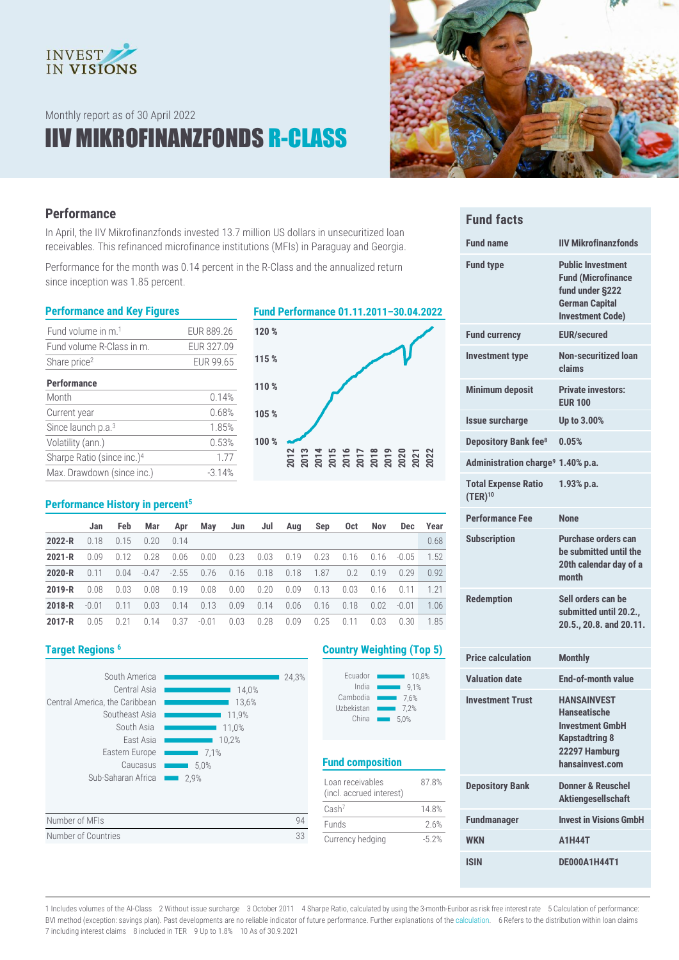

Monthly report as of 30 April 2022

# IIV MIKROFINANZFONDS R-CLASS



# **Performance**

In April, the IIV Mikrofinanzfonds invested 13.7 million US dollars in unsecuritized loan receivables. This refinanced microfinance institutions (MFIs) in Paraguay and Georgia.

Performance for the month was 0.14 percent in the R-Class and the annualized return since inception was 1.85 percent.

#### **Performance and Key Figures Fund Performance 01.11.2011–30.04.2022**

| Fund volume in m. <sup>1</sup>         | EUR 889.26 |
|----------------------------------------|------------|
| Fund volume R-Class in m.              | EUR 327.09 |
| Share price <sup>2</sup>               | EUR 99.65  |
| <b>Performance</b>                     |            |
| Month                                  | 0.14%      |
| Current year                           | 0.68%      |
| Since launch $p.a.3$                   | 1.85%      |
| Volatility (ann.)                      | 0.53%      |
| Sharpe Ratio (since inc.) <sup>4</sup> | 177        |
| Max. Drawdown (since inc.)             | $-3.14%$   |

# **120 %**



### **Performance History in percent<sup>5</sup>**

|            | Jan     | <b>Feb</b> | Mar  | Apr           | May     | Jun              | Jul  | Aug  | Sep  | 0ct           | Nov           | <b>Dec</b> | Year |
|------------|---------|------------|------|---------------|---------|------------------|------|------|------|---------------|---------------|------------|------|
| $2022 - R$ | 0.18    | 0.15       | 0.20 | 0.14          |         |                  |      |      |      |               |               |            | 0.68 |
| $2021 - R$ | 0 Q Q   | 0.12       | 0.28 | 0.06          | 0.00    | $0.23$ 0.03      |      | 0.19 | 0.23 | 0.16          | $0.16 - 0.05$ |            | 1.52 |
| $2020 - R$ | 0.11    | 0.04       |      | $-0.47 -2.55$ |         | $0.76$ 0.16 0.18 |      | 0.18 | 1.87 | $0.2^{\circ}$ | 0.19          | 0.29       | 0.92 |
| $2019 - R$ | 0.08    | 0.03       | 0.08 | 0.19          | 0.08    | $0.00 \t 0.20$   |      | 0.09 | 0.13 | 0.03          | 0.16          | 0.11       | 1.21 |
| $2018 - R$ | $-0.01$ | 0.11       | 0.03 | 0.14          | 0.13    | 0.09             | 0.14 | 0.06 | 0.16 | 0.18          | 0.02          | $-0.01$    | 1.06 |
| $2017 - R$ | 0.05    | 0.21       | 0.14 | 0.37          | $-0.01$ | 0.03             | 0.28 | 0.09 | 0.25 | 0.11          | 0.03          | 0.30       | 1.85 |

| South America<br>Central Asia<br>Central America, the Caribbean<br>Southeast Asia<br>South Asia<br>East Asia<br>Eastern Europe<br>Caucasus<br>Sub-Saharan Africa<br>2.9% | 24,3%<br>14,0%<br>13,6%<br>11.9%<br>11,0%<br>10,2%<br>7,1%<br>5,0% |   |
|--------------------------------------------------------------------------------------------------------------------------------------------------------------------------|--------------------------------------------------------------------|---|
| Number of MFIs                                                                                                                                                           | 94                                                                 | F |
| Number of Countries                                                                                                                                                      | 33                                                                 |   |

# **Target Regions <sup>6</sup> Country Weighting (Top 5)**

| Ecuador    | 10.8% |
|------------|-------|
| India      | 9.1%  |
| Cambodia   | 7.6%  |
| Uzbekistan | 7.2%  |
| China      | 5.0%  |

# **Fund composition**

| Loan receivables<br>(incl. accrued interest) | 878%    |
|----------------------------------------------|---------|
| Cash <sup>7</sup>                            | 148%    |
| <b>Funds</b>                                 | 26%     |
| Currency hedging                             | $-5.2%$ |

| <b>Fund facts</b>                             |                                                                                                                              |
|-----------------------------------------------|------------------------------------------------------------------------------------------------------------------------------|
| <b>Fund name</b>                              | <b>IIV Mikrofinanzfonds</b>                                                                                                  |
| <b>Fund type</b>                              | <b>Public Investment</b><br><b>Fund (Microfinance</b><br>fund under §222<br><b>German Capital</b><br><b>Investment Code)</b> |
| <b>Fund currency</b>                          | <b>EUR/secured</b>                                                                                                           |
| <b>Investment type</b>                        | Non-securitized loan<br>claims                                                                                               |
| <b>Minimum deposit</b>                        | <b>Private investors:</b><br><b>EUR 100</b>                                                                                  |
| <b>Issue surcharge</b>                        | Up to 3.00%                                                                                                                  |
| Depository Bank fee <sup>8</sup>              | 0.05%                                                                                                                        |
| Administration charge <sup>9</sup> 1.40% p.a. |                                                                                                                              |
| <b>Total Expense Ratio</b><br>$(TER)^{10}$    | $1.93%$ p.a.                                                                                                                 |
| <b>Performance Fee</b>                        | <b>None</b>                                                                                                                  |
| <b>Subscription</b>                           | Purchase orders can<br>be submitted until the<br>20th calendar day of a<br>month                                             |
| <b>Redemption</b>                             | Sell orders can be<br>submitted until 20.2<br>20.5., 20.8. and 20.11.                                                        |

| <b>Price calculation</b> | <b>Monthly</b>                                                                                                            |
|--------------------------|---------------------------------------------------------------------------------------------------------------------------|
| <b>Valuation date</b>    | <b>End-of-month value</b>                                                                                                 |
| <b>Investment Trust</b>  | <b>HANSAINVEST</b><br><b>Hanseatische</b><br>Investment GmbH<br><b>Kapstadtring 8</b><br>22297 Hamburg<br>hansainvest.com |
| <b>Depository Bank</b>   | Donner & Reuschel<br><b>Aktiengesellschaft</b>                                                                            |
| <b>Fundmanager</b>       | <b>Invest in Visions GmbH</b>                                                                                             |
| <b>WKN</b>               | <b>A1H44T</b>                                                                                                             |
| <b>ISIN</b>              | <b>DE000A1H44T1</b>                                                                                                       |

1 Includes volumes of the AI-Class 2 Without issue surcharge 3 October 2011 4 Sharpe Ratio, calculated by using the 3-month-Euribor as risk free interest rate 5 Calculation of performance: BVI method (exception: savings plan). Past developments are no reliable indicator of future performance. Further explanations of th[e calculation.](https://www.hansainvest.com/deutsch/fondswelt/fondsuebersicht/rechenartenbeschreibung.html) 6 Refers to the distribution within loan claims 7 including interest claims 8 included in TER 9 Up to 1.8% 10 As of 30.9.2021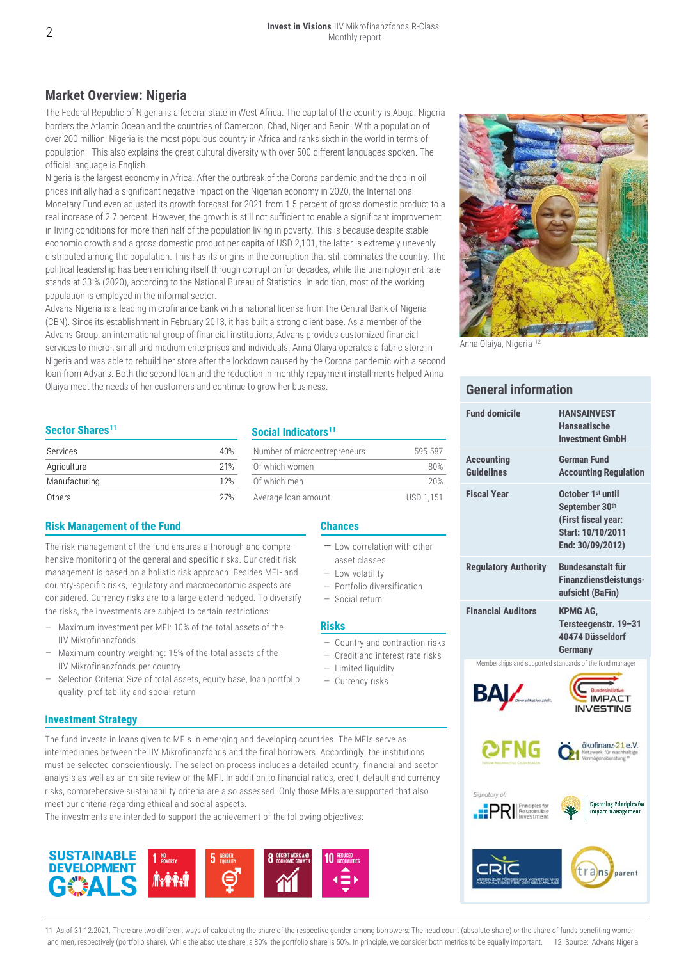# **Market Overview: Nigeria**

The Federal Republic of Nigeria is a federal state in West Africa. The capital of the country is Abuja. Nigeria borders the Atlantic Ocean and the countries of Cameroon, Chad, Niger and Benin. With a population of over 200 million, Nigeria is the most populous country in Africa and ranks sixth in the world in terms of population. This also explains the great cultural diversity with over 500 different languages spoken. The official language is English.

Nigeria is the largest economy in Africa. After the outbreak of the Corona pandemic and the drop in oil prices initially had a significant negative impact on the Nigerian economy in 2020, the International Monetary Fund even adjusted its growth forecast for 2021 from 1.5 percent of gross domestic product to a real increase of 2.7 percent. However, the growth is still not sufficient to enable a significant improvement in living conditions for more than half of the population living in poverty. This is because despite stable economic growth and a gross domestic product per capita of USD 2,101, the latter is extremely unevenly distributed among the population. This has its origins in the corruption that still dominates the country: The political leadership has been enriching itself through corruption for decades, while the unemployment rate stands at 33 % (2020), according to the National Bureau of Statistics. In addition, most of the working population is employed in the informal sector.

Advans Nigeria is a leading microfinance bank with a national license from the Central Bank of Nigeria (CBN). Since its establishment in February 2013, it has built a strong client base. As a member of the Advans Group, an international group of financial institutions, Advans provides customized financial services to micro-, small and medium enterprises and individuals. Anna Olaiya operates a fabric store in Nigeria and was able to rebuild her store after the lockdown caused by the Corona pandemic with a second loan from Advans. Both the second loan and the reduction in monthly repayment installments helped Anna Olaiya meet the needs of her customers and continue to grow her business.

### **Sector Shares<sup>11</sup>**

| Services      | 40% | Number of microentrepreneurs | 595.587          |
|---------------|-----|------------------------------|------------------|
| Agriculture   | 21% | Of which women               | 80%              |
| Manufacturing | 12% | Of which men                 | 20%              |
| Others        | 27% | Average loan amount          | <b>USD 1.151</b> |

#### **Risk Management of the Fund Chances**

The risk management of the fund ensures a thorough and comprehensive monitoring of the general and specific risks. Our credit risk management is based on a holistic risk approach. Besides MFI- and country-specific risks, regulatory and macroeconomic aspects are considered. Currency risks are to a large extend hedged. To diversify the risks, the investments are subject to certain restrictions:

- Maximum investment per MFI: 10% of the total assets of the IIV Mikrofinanzfonds
- Maximum country weighting: 15% of the total assets of the IIV Mikrofinanzfonds per country
- Selection Criteria: Size of total assets, equity base, loan portfolio quality, profitability and social return

### **Investment Strategy**

The fund invests in loans given to MFIs in emerging and developing countries. The MFIs serve as intermediaries between the IIV Mikrofinanzfonds and the final borrowers. Accordingly, the institutions must be selected conscientiously. The selection process includes a detailed country, financial and sector analysis as well as an on-site review of the MFI. In addition to financial ratios, credit, default and currency risks, comprehensive sustainability criteria are also assessed. Only those MFIs are supported that also meet our criteria regarding ethical and social aspects.

The investments are intended to support the achievement of the following objectives:





Anna Olaiya, Nigeria

## **General information**

|  | <b>Fund domicile</b>                                                  | <b>HANSAINVEST</b><br>Hanseatische<br><b>Investment GmbH</b>                                                    |
|--|-----------------------------------------------------------------------|-----------------------------------------------------------------------------------------------------------------|
|  | <b>Accounting</b><br>Guidelines                                       | <b>German Fund</b><br><b>Accounting Regulation</b>                                                              |
|  | <b>Fiscal Year</b>                                                    | October 1 <sup>st</sup> until<br>September 30th<br>(First fiscal year:<br>Start: 10/10/2011<br>End: 30/09/2012) |
|  | <b>Regulatory Authority</b>                                           | <b>Bundesanstalt für</b><br><b>Finanzdienstleistungs-</b><br>aufsicht (BaFin)                                   |
|  | <b>Financial Auditors</b>                                             | <b>KPMG AG.</b><br>Tersteegenstr. 19-31<br>40474 Düsseldorf<br><b>Germany</b>                                   |
|  |                                                                       | Memberships and supported standards of the fund manager<br><b>IMPACT</b><br><b>/ESTING</b>                      |
|  |                                                                       | ökofinanz-21 e.V.<br>Netzwerk für nachhaltige<br>Vermögensberatung ®                                            |
|  | Signatory of:<br>Principles for<br>Responsible<br>Investment<br>.: PR | <b>Operating Principles for</b><br><b>Impact Management</b>                                                     |
|  |                                                                       | trans                                                                                                           |

11 As of 31.12.2021. There are two different ways of calculating the share of the respective gender among borrowers: The head count (absolute share) or the share of funds benefiting women and men, respectively (portfolio share). While the absolute share is 80%, the portfolio share is 50%. In principle, we consider both metrics to be equally important. 12 Source: Advans Nigeria

**Social Indicators<sup>11</sup>**

| Services      | 40% | Number of microentrepreneurs | 595.587    |
|---------------|-----|------------------------------|------------|
| Agriculture   | 21% | Of which women               | 80%        |
| Manufacturing | 12% | Of which men                 | 20%        |
| ∩thare        | 27% | Average loan amount          | I IRN 1151 |

- Low correlation with other
- asset classes
- Low volatility
- Portfolio diversification
- Social return

#### **Risks**

- Country and contraction risks
- Credit and interest rate risks
- Limited liquidity
- Currency risks